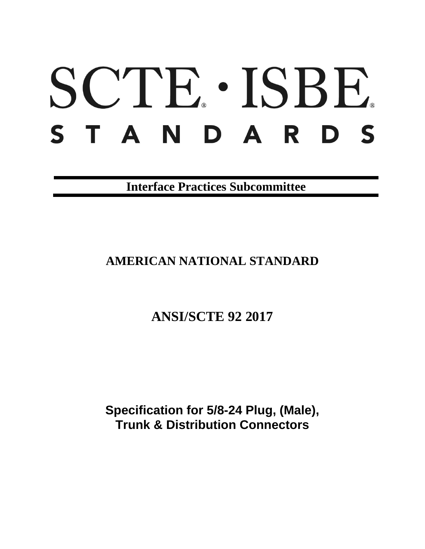# SCTE · ISBE. S T A N D A R D S

**Interface Practices Subcommittee**

**AMERICAN NATIONAL STANDARD**

**ANSI/SCTE 92 2017**

**Specification for 5/8-24 Plug, (Male), Trunk & Distribution Connectors**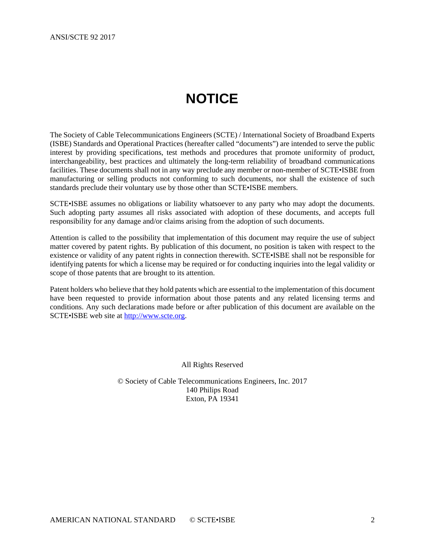# **NOTICE**

<span id="page-1-0"></span>The Society of Cable Telecommunications Engineers (SCTE) / International Society of Broadband Experts (ISBE) Standards and Operational Practices (hereafter called "documents") are intended to serve the public interest by providing specifications, test methods and procedures that promote uniformity of product, interchangeability, best practices and ultimately the long-term reliability of broadband communications facilities. These documents shall not in any way preclude any member or non-member of SCTE•ISBE from manufacturing or selling products not conforming to such documents, nor shall the existence of such standards preclude their voluntary use by those other than SCTE•ISBE members.

SCTE•ISBE assumes no obligations or liability whatsoever to any party who may adopt the documents. Such adopting party assumes all risks associated with adoption of these documents, and accepts full responsibility for any damage and/or claims arising from the adoption of such documents.

Attention is called to the possibility that implementation of this document may require the use of subject matter covered by patent rights. By publication of this document, no position is taken with respect to the existence or validity of any patent rights in connection therewith. SCTE•ISBE shall not be responsible for identifying patents for which a license may be required or for conducting inquiries into the legal validity or scope of those patents that are brought to its attention.

Patent holders who believe that they hold patents which are essential to the implementation of this document have been requested to provide information about those patents and any related licensing terms and conditions. Any such declarations made before or after publication of this document are available on the SCTE•ISBE web site at [http://www.scte.org.](http://www.scte.org/)

All Rights Reserved

© Society of Cable Telecommunications Engineers, Inc. 2017 140 Philips Road Exton, PA 19341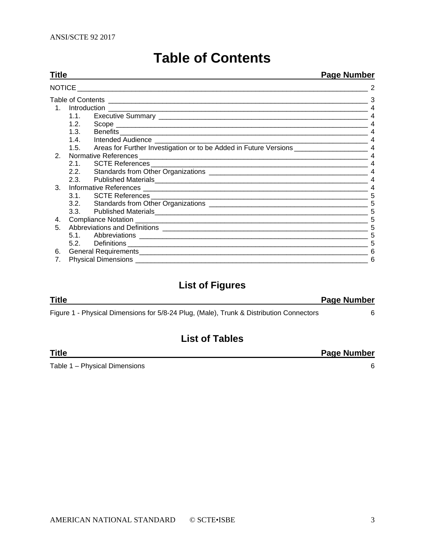<span id="page-2-0"></span>

| Title |      |                                           | Page Number |
|-------|------|-------------------------------------------|-------------|
|       |      | NOTICE __________________________________ |             |
|       |      |                                           |             |
|       |      |                                           |             |
|       |      |                                           |             |
|       | 1.2. |                                           |             |
|       | 1.3. |                                           |             |
|       |      |                                           |             |
|       |      |                                           |             |
| 2.    |      |                                           |             |
|       |      |                                           |             |
|       |      |                                           | 4           |
|       | 2.3. |                                           |             |
| 3.    |      |                                           |             |
|       |      |                                           | 5           |
|       |      |                                           | 5           |
|       |      | 3.3. Published Materials                  | 5           |
| 4.    |      |                                           |             |
| 5.    |      |                                           | 5           |
|       |      |                                           |             |
|       | 5.2. |                                           |             |
| 6.    |      |                                           |             |
| 7.    |      |                                           | 6           |

## **Table of Contents**

## **List of Figures**

| <b>Title</b>                                                                            | <b>Page Number</b> |
|-----------------------------------------------------------------------------------------|--------------------|
| Figure 1 - Physical Dimensions for 5/8-24 Plug, (Male), Trunk & Distribution Connectors |                    |

## **List of Tables**

| Title                         | <b>Page Number</b> |
|-------------------------------|--------------------|
| Table 1 - Physical Dimensions |                    |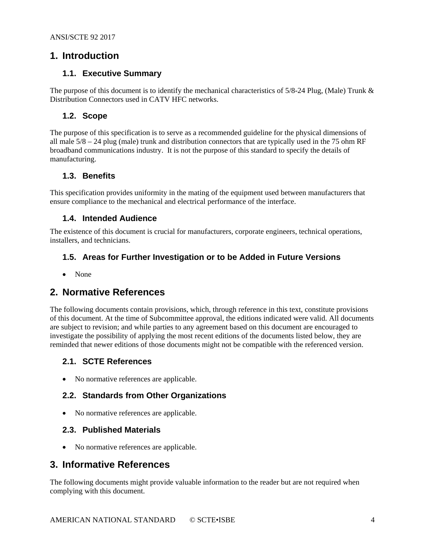## <span id="page-3-1"></span><span id="page-3-0"></span>**1. Introduction**

#### **1.1. Executive Summary**

<span id="page-3-2"></span>The purpose of this document is to identify the mechanical characteristics of 5/8-24 Plug, (Male) Trunk & Distribution Connectors used in CATV HFC networks.

#### **1.2. Scope**

The purpose of this specification is to serve as a recommended guideline for the physical dimensions of all male  $5/8 - 24$  plug (male) trunk and distribution connectors that are typically used in the 75 ohm RF broadband communications industry. It is not the purpose of this standard to specify the details of manufacturing.

#### <span id="page-3-3"></span>**1.3. Benefits**

This specification provides uniformity in the mating of the equipment used between manufacturers that ensure compliance to the mechanical and electrical performance of the interface.

#### <span id="page-3-4"></span>**1.4. Intended Audience**

The existence of this document is crucial for manufacturers, corporate engineers, technical operations, installers, and technicians.

#### <span id="page-3-5"></span>**1.5. Areas for Further Investigation or to be Added in Future Versions**

• None

#### <span id="page-3-6"></span>**2. Normative References**

The following documents contain provisions, which, through reference in this text, constitute provisions of this document. At the time of Subcommittee approval, the editions indicated were valid. All documents are subject to revision; and while parties to any agreement based on this document are encouraged to investigate the possibility of applying the most recent editions of the documents listed below, they are reminded that newer editions of those documents might not be compatible with the referenced version.

#### <span id="page-3-7"></span>**2.1. SCTE References**

<span id="page-3-8"></span>• No normative references are applicable.

#### **2.2. Standards from Other Organizations**

<span id="page-3-9"></span>• No normative references are applicable.

#### **2.3. Published Materials**

• No normative references are applicable.

#### <span id="page-3-10"></span>**3. Informative References**

The following documents might provide valuable information to the reader but are not required when complying with this document.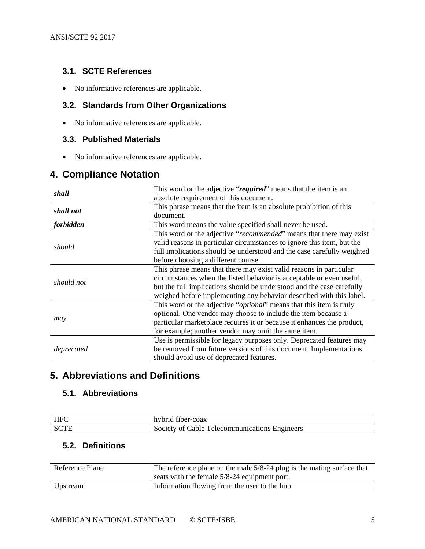#### <span id="page-4-0"></span>**3.1. SCTE References**

• No informative references are applicable.

#### <span id="page-4-1"></span>**3.2. Standards from Other Organizations**

• No informative references are applicable.

### <span id="page-4-2"></span>**3.3. Published Materials**

• No informative references are applicable.

## <span id="page-4-3"></span>**4. Compliance Notation**

|            | This word or the adjective "required" means that the item is an        |  |  |
|------------|------------------------------------------------------------------------|--|--|
| shall      | absolute requirement of this document.                                 |  |  |
| shall not  | This phrase means that the item is an absolute prohibition of this     |  |  |
|            | document.                                                              |  |  |
| forbidden  | This word means the value specified shall never be used.               |  |  |
|            | This word or the adjective "recommended" means that there may exist    |  |  |
| should     | valid reasons in particular circumstances to ignore this item, but the |  |  |
|            | full implications should be understood and the case carefully weighted |  |  |
|            | before choosing a different course.                                    |  |  |
|            | This phrase means that there may exist valid reasons in particular     |  |  |
| should not | circumstances when the listed behavior is acceptable or even useful,   |  |  |
|            | but the full implications should be understood and the case carefully  |  |  |
|            | weighed before implementing any behavior described with this label.    |  |  |
|            | This word or the adjective "optional" means that this item is truly    |  |  |
|            | optional. One vendor may choose to include the item because a          |  |  |
| may        | particular marketplace requires it or because it enhances the product, |  |  |
|            | for example; another vendor may omit the same item.                    |  |  |
|            | Use is permissible for legacy purposes only. Deprecated features may   |  |  |
| deprecated | be removed from future versions of this document. Implementations      |  |  |
|            | should avoid use of deprecated features.                               |  |  |

## <span id="page-4-4"></span>**5. Abbreviations and Definitions**

#### <span id="page-4-5"></span>**5.1. Abbreviations**

| LLEC         | $\sim$                                                                     |
|--------------|----------------------------------------------------------------------------|
| $\mathbf{u}$ | hybrid fiber-coax                                                          |
| - PC         | $\mathbf{r}$<br>Engineers<br>`able.<br>l'elecommunications l<br>Society of |

#### <span id="page-4-6"></span>**5.2. Definitions**

| Reference Plane | The reference plane on the male 5/8-24 plug is the mating surface that<br>seats with the female 5/8-24 equipment port. |
|-----------------|------------------------------------------------------------------------------------------------------------------------|
| Upstream        | Information flowing from the user to the hub                                                                           |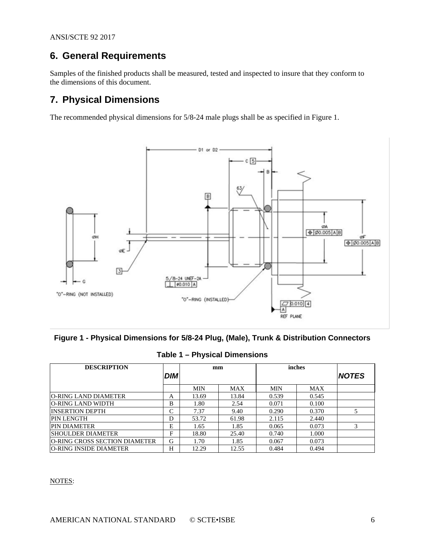## <span id="page-5-0"></span>**6. General Requirements**

Samples of the finished products shall be measured, tested and inspected to insure that they conform to the dimensions of this document.

## <span id="page-5-1"></span>**7. Physical Dimensions**

The recommended physical dimensions for 5/8-24 male plugs shall be as specified in [Figure 1.](#page-5-2)



<span id="page-5-2"></span>**Figure 1 - Physical Dimensions for 5/8-24 Plug, (Male), Trunk & Distribution Connectors**

<span id="page-5-3"></span>

| <b>DESCRIPTION</b>                   | <b>DIM</b> | mm         |            | inches     |            | <b>NOTES</b> |
|--------------------------------------|------------|------------|------------|------------|------------|--------------|
|                                      |            | <b>MIN</b> | <b>MAX</b> | <b>MIN</b> | <b>MAX</b> |              |
| O-RING LAND DIAMETER                 | A          | 13.69      | 13.84      | 0.539      | 0.545      |              |
| IO-RING LAND WIDTH                   | B          | 1.80       | 2.54       | 0.071      | 0.100      |              |
| <b>INSERTION DEPTH</b>               | C          | 7.37       | 9.40       | 0.290      | 0.370      |              |
| <b>PIN LENGTH</b>                    | D          | 53.72      | 61.98      | 2.115      | 2.440      |              |
| <b>PIN DIAMETER</b>                  | Е          | 1.65       | 1.85       | 0.065      | 0.073      | 3            |
| <b>SHOULDER DIAMETER</b>             | F          | 18.80      | 25.40      | 0.740      | 1.000      |              |
| <b>O-RING CROSS SECTION DIAMETER</b> | G          | 1.70       | 1.85       | 0.067      | 0.073      |              |
| O-RING INSIDE DIAMETER               | H          | 12.29      | 12.55      | 0.484      | 0.494      |              |

| Table 1 – Physical Dimensions |  |
|-------------------------------|--|
|-------------------------------|--|

#### NOTES: